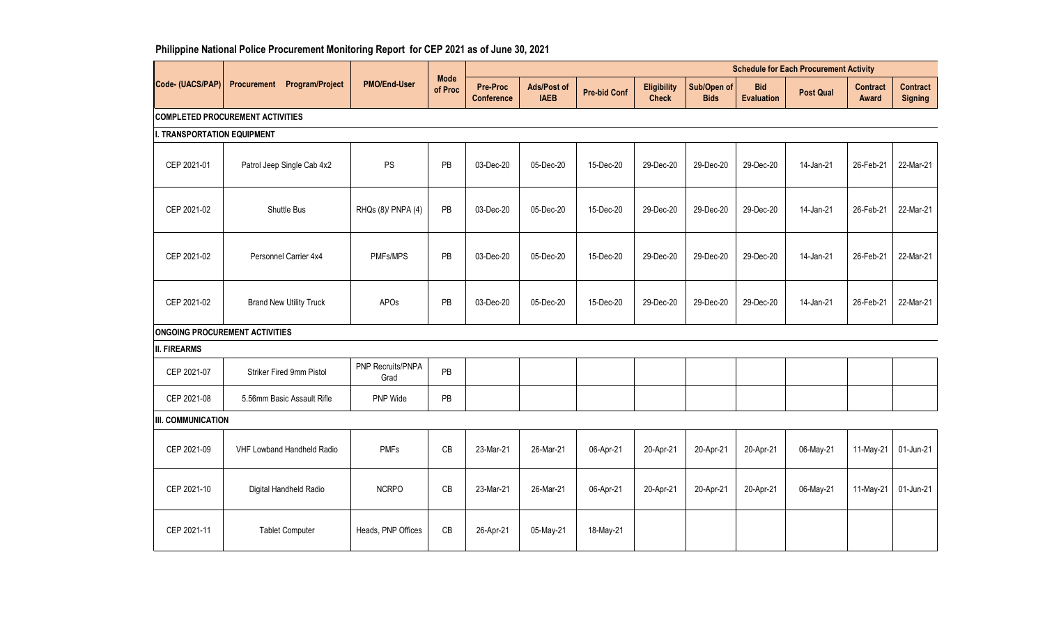## **Philippine National Police Procurement Monitoring Report for CEP 2021 as of June 30, 2021**

|                             |                                         |                           | <b>Mode</b><br><b>PMO/End-User</b><br>Ads/Post of<br>Pre-Proc |                   |             |                     |                                    | <b>Schedule for Each Procurement Activity</b> |                                 |                  |                                 |                                   |
|-----------------------------|-----------------------------------------|---------------------------|---------------------------------------------------------------|-------------------|-------------|---------------------|------------------------------------|-----------------------------------------------|---------------------------------|------------------|---------------------------------|-----------------------------------|
| Code- (UACS/PAP)            | Program/Project<br><b>Procurement</b>   |                           | of Proc                                                       | <b>Conference</b> | <b>IAEB</b> | <b>Pre-bid Conf</b> | <b>Eligibility</b><br><b>Check</b> | Sub/Open of<br><b>Bids</b>                    | <b>Bid</b><br><b>Evaluation</b> | <b>Post Qual</b> | <b>Contract</b><br><b>Award</b> | <b>Contract</b><br><b>Signing</b> |
|                             | <b>COMPLETED PROCUREMENT ACTIVITIES</b> |                           |                                                               |                   |             |                     |                                    |                                               |                                 |                  |                                 |                                   |
| I. TRANSPORTATION EQUIPMENT |                                         |                           |                                                               |                   |             |                     |                                    |                                               |                                 |                  |                                 |                                   |
| CEP 2021-01                 | Patrol Jeep Single Cab 4x2              | PS                        | PB                                                            | 03-Dec-20         | 05-Dec-20   | 15-Dec-20           | 29-Dec-20                          | 29-Dec-20                                     | 29-Dec-20                       | 14-Jan-21        | 26-Feb-21                       | 22-Mar-21                         |
| CEP 2021-02                 | Shuttle Bus                             | RHQs (8)/ PNPA (4)        | PB                                                            | 03-Dec-20         | 05-Dec-20   | 15-Dec-20           | 29-Dec-20                          | 29-Dec-20                                     | 29-Dec-20                       | 14-Jan-21        | 26-Feb-21                       | 22-Mar-21                         |
| CEP 2021-02                 | Personnel Carrier 4x4                   | PMFs/MPS                  | PB                                                            | 03-Dec-20         | 05-Dec-20   | 15-Dec-20           | 29-Dec-20                          | 29-Dec-20                                     | 29-Dec-20                       | 14-Jan-21        | 26-Feb-21                       | 22-Mar-21                         |
| CEP 2021-02                 | <b>Brand New Utility Truck</b>          | APOs                      | PB                                                            | 03-Dec-20         | 05-Dec-20   | 15-Dec-20           | 29-Dec-20                          | 29-Dec-20                                     | 29-Dec-20                       | 14-Jan-21        | 26-Feb-21                       | 22-Mar-21                         |
|                             | <b>ONGOING PROCUREMENT ACTIVITIES</b>   |                           |                                                               |                   |             |                     |                                    |                                               |                                 |                  |                                 |                                   |
| <b>II. FIREARMS</b>         |                                         |                           |                                                               |                   |             |                     |                                    |                                               |                                 |                  |                                 |                                   |
| CEP 2021-07                 | Striker Fired 9mm Pistol                | PNP Recruits/PNPA<br>Grad | PB                                                            |                   |             |                     |                                    |                                               |                                 |                  |                                 |                                   |
| CEP 2021-08                 | 5.56mm Basic Assault Rifle              | PNP Wide                  | PB                                                            |                   |             |                     |                                    |                                               |                                 |                  |                                 |                                   |
| III. COMMUNICATION          |                                         |                           |                                                               |                   |             |                     |                                    |                                               |                                 |                  |                                 |                                   |
| CEP 2021-09                 | VHF Lowband Handheld Radio              | <b>PMFs</b>               | CB                                                            | 23-Mar-21         | 26-Mar-21   | 06-Apr-21           | 20-Apr-21                          | 20-Apr-21                                     | 20-Apr-21                       | 06-May-21        | 11-May-21                       | 01-Jun-21                         |
| CEP 2021-10                 | Digital Handheld Radio                  | <b>NCRPO</b>              | CB                                                            | 23-Mar-21         | 26-Mar-21   | 06-Apr-21           | 20-Apr-21                          | 20-Apr-21                                     | 20-Apr-21                       | 06-May-21        | 11-May-21                       | 01-Jun-21                         |
| CEP 2021-11                 | <b>Tablet Computer</b>                  | Heads, PNP Offices        | CB                                                            | 26-Apr-21         | 05-May-21   | 18-May-21           |                                    |                                               |                                 |                  |                                 |                                   |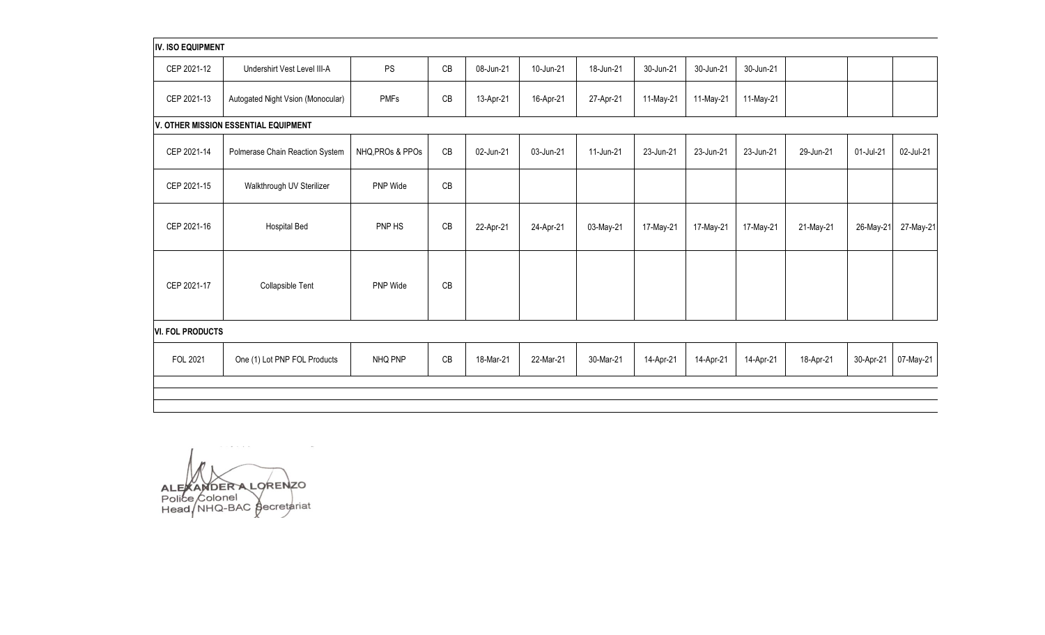## **IV. ISO EQUIPMENT**

| CEP 2021-12 | Undershirt Vest Level III-A       | PS          | $\cap$<br>UB | 08-Jun-21 | 10-Jun-21 | 18-Jun-21 | 30-Jun-21 | 30-Jun-21 | 30-Jun-21 |  |  |
|-------------|-----------------------------------|-------------|--------------|-----------|-----------|-----------|-----------|-----------|-----------|--|--|
| CEP 2021-13 | Autogated Night Vsion (Monocular) | <b>PMFs</b> | CВ           | 13-Apr-21 | 16-Apr-21 | 27-Apr-21 | 11-May-21 | 11-May-21 | 11-May-21 |  |  |

**V. OTHER MISSION ESSENTIAL EQUIPMENT**

| CEP 2021-14 | Polmerase Chain Reaction System | NHQ, PROs & PPOs | CB | 02-Jun-21 | 03-Jun-21 | 11-Jun-21 | 23-Jun-21 | 23-Jun-21 | 23-Jun-21 | 29-Jun-21 | 01-Jul-21 | 02-Jul-21 |
|-------------|---------------------------------|------------------|----|-----------|-----------|-----------|-----------|-----------|-----------|-----------|-----------|-----------|
| CEP 2021-15 | Walkthrough UV Sterilizer       | PNP Wide         | CB |           |           |           |           |           |           |           |           |           |
| CEP 2021-16 | <b>Hospital Bed</b>             | PNP HS           | CB | 22-Apr-21 | 24-Apr-21 | 03-May-21 | 17-May-21 | 17-May-21 | 17-May-21 | 21-May-21 | 26-May-21 | 27-May-21 |
| CEP 2021-17 | Collapsible Tent                | PNP Wide         | CB |           |           |           |           |           |           |           |           |           |

## **VI. FOL PRODUCTS**

| <b>FOL 2021</b> | One (1) Lot PNP FOL Products | NHQ PNP | CB | 18-Mar-21 | 22-Mar-21 | 30-Mar-21 | 14-Apr-21 | 14-Apr-21 | 14-Apr-21 | 18-Apr-21 | 30-Apr-21 | 07-May-21 |
|-----------------|------------------------------|---------|----|-----------|-----------|-----------|-----------|-----------|-----------|-----------|-----------|-----------|
|                 |                              |         |    |           |           |           |           |           |           |           |           |           |

ALEXAMDER A LORENZO<br>Police Colonel<br>Head NHQ-BAC gecretariat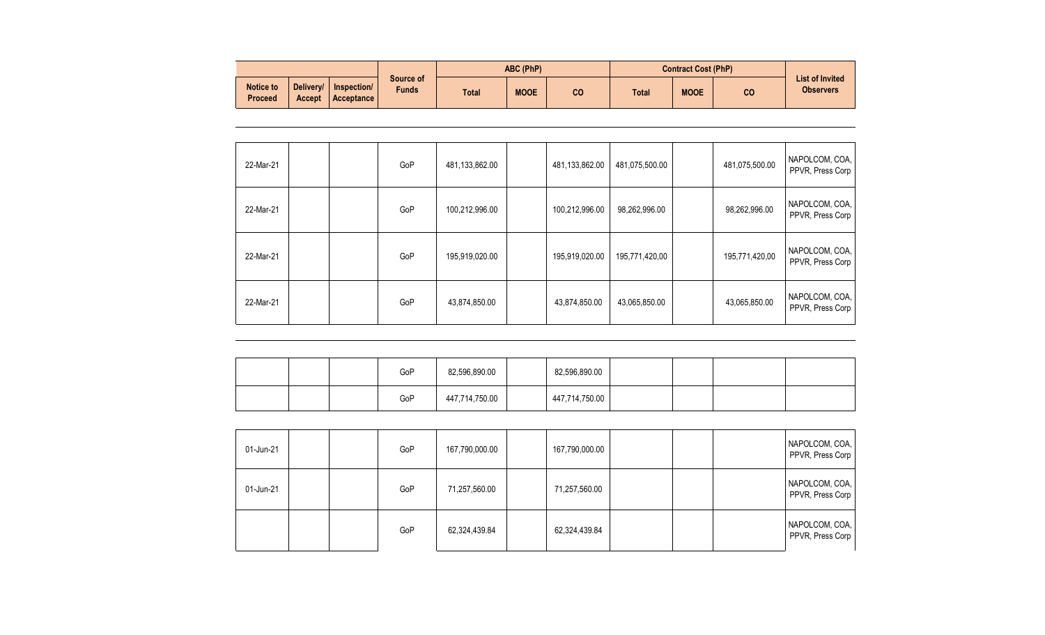|                             |                                                  |                           | <b>ABC (PhP)</b> |             | <b>Contract Cost (PhP)</b> |              |             |    |                                            |
|-----------------------------|--------------------------------------------------|---------------------------|------------------|-------------|----------------------------|--------------|-------------|----|--------------------------------------------|
| Notice to<br><b>Proceed</b> | Delivery/<br>Inspection/<br>Acceptance<br>Accept | Source of<br><b>Funds</b> | <b>Total</b>     | <b>MOOE</b> | CO                         | <b>Total</b> | <b>MOOE</b> | CO | <b>List of Invited</b><br><b>Observers</b> |

| 22-Mar-21 |  | GoP | 481,133,862.00 | 481,133,862.00 | 481,075,500.00 | 481,075,500.00 | NAPOLCOM, COA,<br>PPVR, Press Corp |
|-----------|--|-----|----------------|----------------|----------------|----------------|------------------------------------|
| 22-Mar-21 |  | GoP | 100,212,996.00 | 100,212,996.00 | 98,262,996.00  | 98,262,996.00  | NAPOLCOM, COA,<br>PPVR, Press Corp |
| 22-Mar-21 |  | GoP | 195,919,020.00 | 195,919,020.00 | 195,771,420,00 | 195,771,420,00 | NAPOLCOM, COA,<br>PPVR, Press Corp |
| 22-Mar-21 |  | GoP | 43,874,850.00  | 43,874,850.00  | 43,065,850.00  | 43,065,850.00  | NAPOLCOM, COA,<br>PPVR, Press Corp |

|  | GoP | 82,596,890.00  | 82,596,890.00  |  |  |
|--|-----|----------------|----------------|--|--|
|  | GoP | 447,714,750.00 | 447,714,750.00 |  |  |

| 01-Jun-21 |  | GoP | 167,790,000.00 | 167,790,000.00 |  | NAPOLCOM, COA,<br>PPVR, Press Corp |
|-----------|--|-----|----------------|----------------|--|------------------------------------|
| 01-Jun-21 |  | GoP | 71,257,560.00  | 71,257,560.00  |  | NAPOLCOM, COA,<br>PPVR, Press Corp |
|           |  | GoP | 62,324,439.84  | 62,324,439.84  |  | NAPOLCOM, COA,<br>PPVR, Press Corp |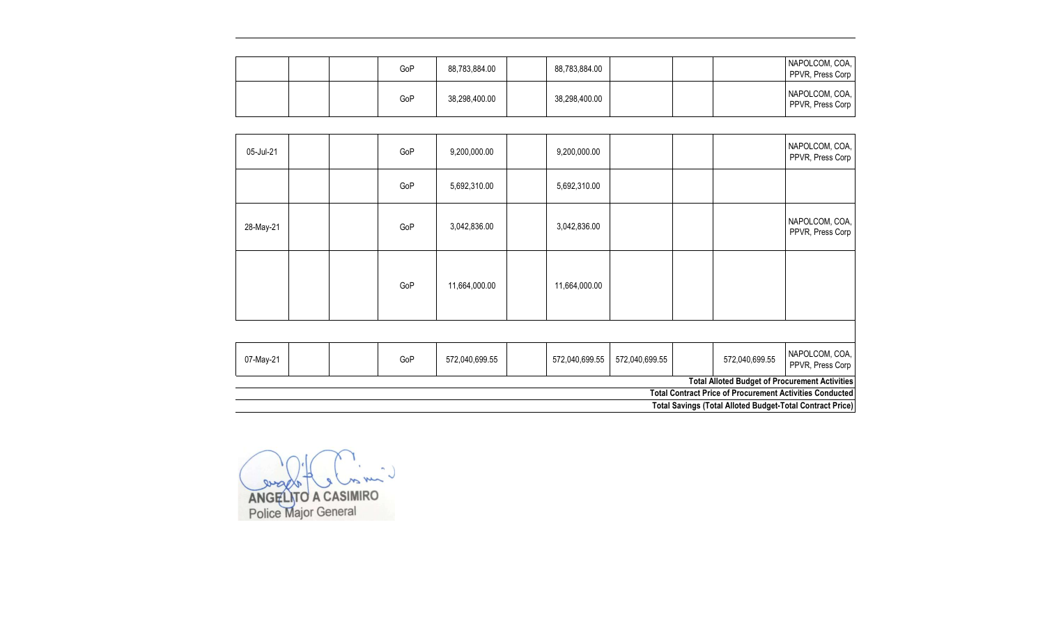|  | GoP | 88,783,884.00 | 88,783,884.00 |  | NAPOLCOM, COA,<br>PPVR, Press Corp |
|--|-----|---------------|---------------|--|------------------------------------|
|  | GoP | 38,298,400.00 | 38,298,400.00 |  | NAPOLCOM, COA,<br>PPVR, Press Corp |

|           |  |     |                |                |                |                | <b>Total Contract Price of Procurement Activities Conducted</b><br><b>Total Savings (Total Alloted Budget-Total Contract Price)</b> |
|-----------|--|-----|----------------|----------------|----------------|----------------|-------------------------------------------------------------------------------------------------------------------------------------|
|           |  |     |                |                |                |                | <b>Total Alloted Budget of Procurement Activities</b>                                                                               |
| 07-May-21 |  | GoP | 572,040,699.55 | 572,040,699.55 | 572,040,699.55 | 572,040,699.55 | NAPOLCOM, COA,<br>PPVR, Press Corp                                                                                                  |
|           |  |     |                |                |                |                |                                                                                                                                     |
|           |  | GoP | 11,664,000.00  | 11,664,000.00  |                |                |                                                                                                                                     |
| 28-May-21 |  | GoP | 3,042,836.00   | 3,042,836.00   |                |                | NAPOLCOM, COA,<br>PPVR, Press Corp                                                                                                  |
|           |  | GoP | 5,692,310.00   | 5,692,310.00   |                |                |                                                                                                                                     |
| 05-Jul-21 |  | GoP | 9,200,000.00   | 9,200,000.00   |                |                | NAPOLCOM, COA,<br>PPVR, Press Corp                                                                                                  |

ANGELITO A CASIMIRO<br>Police Major General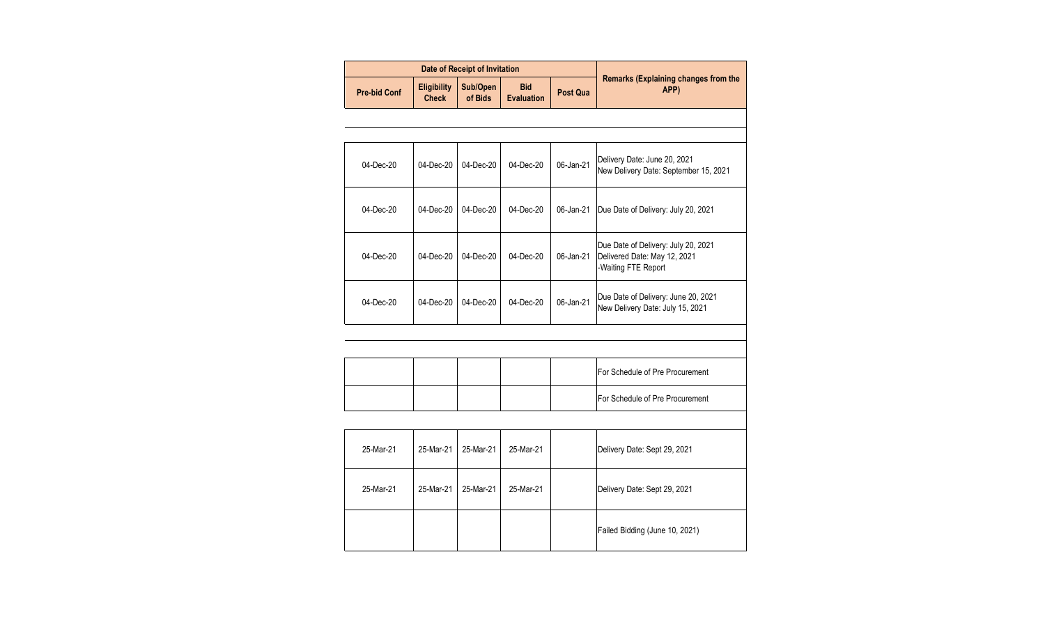|                     |                                    | Date of Receipt of Invitation |                                 |           |                                                                                            |
|---------------------|------------------------------------|-------------------------------|---------------------------------|-----------|--------------------------------------------------------------------------------------------|
| <b>Pre-bid Conf</b> | <b>Eligibility</b><br><b>Check</b> | Sub/Open<br>of Bids           | <b>Bid</b><br><b>Evaluation</b> | Post Qua  | <b>Remarks (Explaining changes from the</b><br>APP)                                        |
|                     |                                    |                               |                                 |           |                                                                                            |
|                     |                                    |                               |                                 |           |                                                                                            |
| 04-Dec-20           | 04-Dec-20                          | 04-Dec-20                     | 04-Dec-20                       | 06-Jan-21 | Delivery Date: June 20, 2021<br>New Delivery Date: September 15, 2021                      |
| 04-Dec-20           | 04-Dec-20                          | 04-Dec-20                     | 04-Dec-20                       | 06-Jan-21 | Due Date of Delivery: July 20, 2021                                                        |
| 04-Dec-20           | 04-Dec-20                          | 04-Dec-20                     | 04-Dec-20                       | 06-Jan-21 | Due Date of Delivery: July 20, 2021<br>Delivered Date: May 12, 2021<br>-Waiting FTE Report |
| 04-Dec-20           | 04-Dec-20                          | 04-Dec-20                     | 04-Dec-20                       | 06-Jan-21 | Due Date of Delivery: June 20, 2021<br>New Delivery Date: July 15, 2021                    |
|                     |                                    |                               |                                 |           |                                                                                            |
|                     |                                    |                               |                                 |           |                                                                                            |
|                     |                                    |                               |                                 |           | For Schedule of Pre Procurement                                                            |
|                     |                                    |                               |                                 |           | For Schedule of Pre Procurement                                                            |
|                     |                                    |                               |                                 |           |                                                                                            |
| 25-Mar-21           | 25-Mar-21                          | 25-Mar-21                     | 25-Mar-21                       |           | Delivery Date: Sept 29, 2021                                                               |
| 25-Mar-21           | 25-Mar-21                          | 25-Mar-21                     | 25-Mar-21                       |           | Delivery Date: Sept 29, 2021                                                               |
|                     |                                    |                               |                                 |           | Failed Bidding (June 10, 2021)                                                             |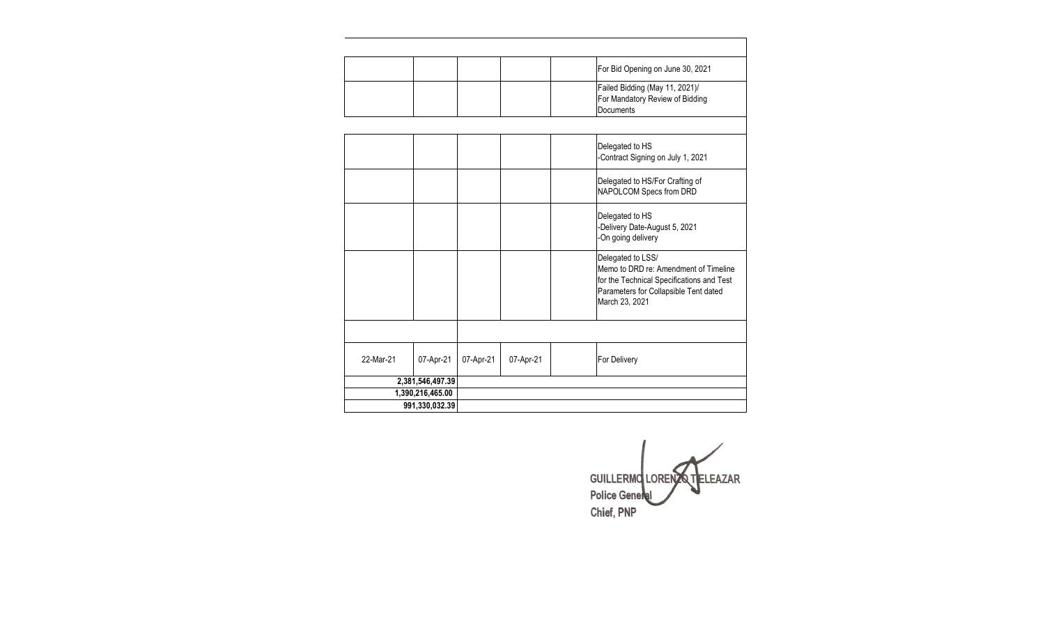|           |                  |           |           | For Bid Opening on June 30, 2021                                                                                                                                   |
|-----------|------------------|-----------|-----------|--------------------------------------------------------------------------------------------------------------------------------------------------------------------|
|           |                  |           |           | Failed Bidding (May 11, 2021)/<br>For Mandatory Review of Bidding<br>Documents                                                                                     |
|           |                  |           |           |                                                                                                                                                                    |
|           |                  |           |           | Delegated to HS<br>-Contract Signing on July 1, 2021                                                                                                               |
|           |                  |           |           | Delegated to HS/For Crafting of<br>NAPOLCOM Specs from DRD                                                                                                         |
|           |                  |           |           | Delegated to HS<br>-Delivery Date-August 5, 2021<br>-On going delivery                                                                                             |
|           |                  |           |           | Delegated to LSS/<br>Memo to DRD re: Amendment of Timeline<br>for the Technical Specifications and Test<br>Parameters for Collapsible Tent dated<br>March 23, 2021 |
|           |                  |           |           |                                                                                                                                                                    |
| 22-Mar-21 | 07-Apr-21        | 07-Apr-21 | 07-Apr-21 | For Delivery                                                                                                                                                       |
|           | 2,381,546,497.39 |           |           |                                                                                                                                                                    |
|           | 1,390,216,465.00 |           |           |                                                                                                                                                                    |
|           | 991,330,032.39   |           |           |                                                                                                                                                                    |

GUILLERMO LORENZO TELEAZAR<br>Police General Chief, PNP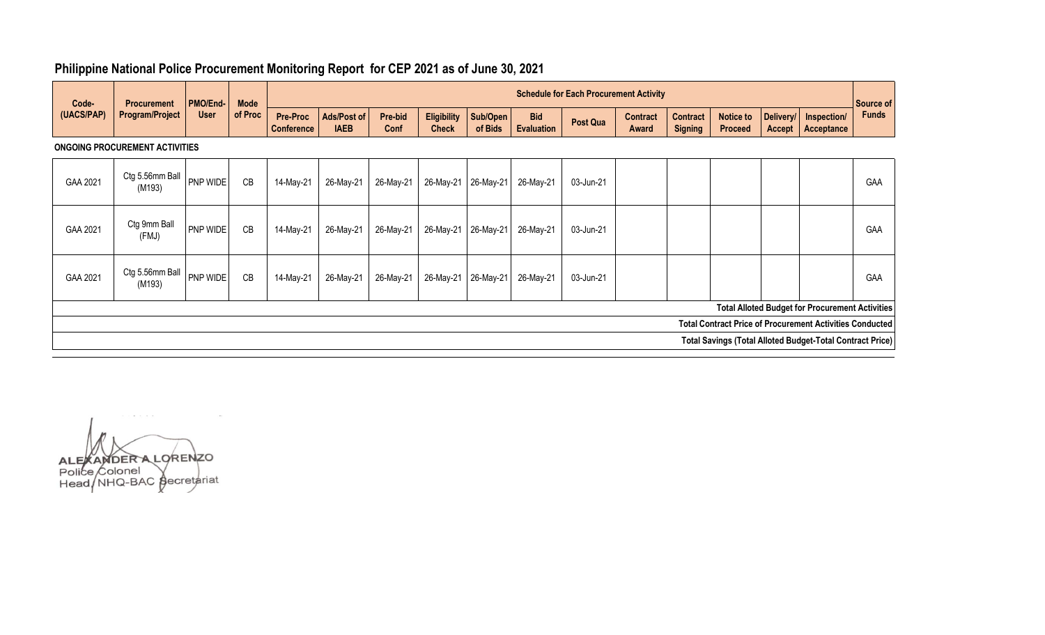| Code-<br>(UACS/PAP)                   | <b>Procurement</b><br><b>Program/Project</b>                     | <b>PMO/End-1</b><br><b>User</b> | <b>Mode</b><br>of Proc | <b>Schedule for Each Procurement Activity</b> |                            |                 |                                    |                     |                                 |                 |                          |                                   |                                    |                     | Source of                                              |              |
|---------------------------------------|------------------------------------------------------------------|---------------------------------|------------------------|-----------------------------------------------|----------------------------|-----------------|------------------------------------|---------------------|---------------------------------|-----------------|--------------------------|-----------------------------------|------------------------------------|---------------------|--------------------------------------------------------|--------------|
|                                       |                                                                  |                                 |                        | <b>Pre-Proc</b><br><b>Conference</b>          | Ads/Post of<br><b>IAEB</b> | Pre-bid<br>Conf | <b>Eligibility</b><br><b>Check</b> | Sub/Open<br>of Bids | <b>Bid</b><br><b>Evaluation</b> | <b>Post Qua</b> | <b>Contract</b><br>Award | <b>Contract</b><br><b>Signing</b> | <b>Notice to</b><br><b>Proceed</b> | Delivery/<br>Accept | Inspection/<br>Acceptance                              | <b>Funds</b> |
| <b>ONGOING PROCUREMENT ACTIVITIES</b> |                                                                  |                                 |                        |                                               |                            |                 |                                    |                     |                                 |                 |                          |                                   |                                    |                     |                                                        |              |
| GAA 2021                              | Ctg 5.56mm Ball<br>(M193)                                        | <b>PNP WIDE</b>                 | CB                     | 14-May-21                                     | 26-May-21                  | 26-May-21       |                                    | 26-May-21 26-May-21 | 26-May-21                       | 03-Jun-21       |                          |                                   |                                    |                     |                                                        | <b>GAA</b>   |
| GAA 2021                              | Ctg 9mm Ball<br>(FMJ)                                            | <b>PNP WIDE</b>                 | CB                     | 14-May-21                                     | 26-May-21                  | 26-May-21       | 26-May-21                          | 26-May-21           | 26-May-21                       | 03-Jun-21       |                          |                                   |                                    |                     |                                                        | <b>GAA</b>   |
| GAA 2021                              | Ctg 5.56mm Ball<br>(M193)                                        | PNP WIDE                        | CB                     | 14-May-21                                     | 26-May-21                  | 26-May-21       | 26-May-21                          | 26-May-21           | 26-May-21                       | 03-Jun-21       |                          |                                   |                                    |                     |                                                        | <b>GAA</b>   |
|                                       |                                                                  |                                 |                        |                                               |                            |                 |                                    |                     |                                 |                 |                          |                                   |                                    |                     | <b>Total Alloted Budget for Procurement Activities</b> |              |
|                                       | <b>Total Contract Price of Procurement Activities Conducted</b>  |                                 |                        |                                               |                            |                 |                                    |                     |                                 |                 |                          |                                   |                                    |                     |                                                        |              |
|                                       | <b>Total Savings (Total Alloted Budget-Total Contract Price)</b> |                                 |                        |                                               |                            |                 |                                    |                     |                                 |                 |                          |                                   |                                    |                     |                                                        |              |

## **Philippine National Police Procurement Monitoring Report for CEP 2021 as of June 30, 2021**

ALEXAMDER A LORENZO<br>Police Colonel<br>Head NHQ-BAC gecretariat